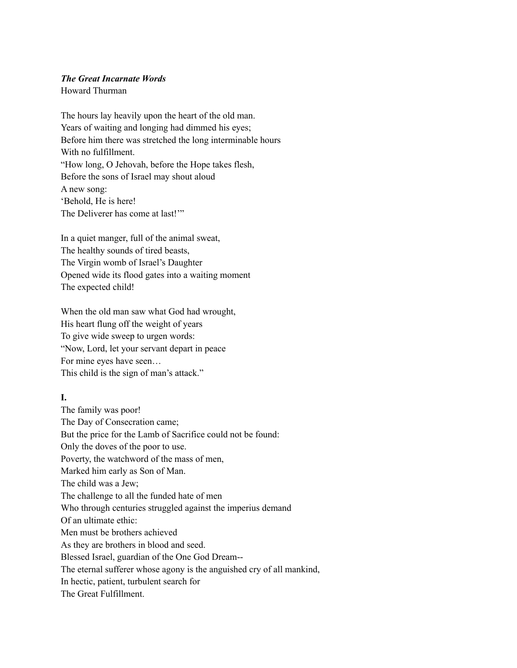### *The Great Incarnate Words*

Howard Thurman

The hours lay heavily upon the heart of the old man. Years of waiting and longing had dimmed his eyes; Before him there was stretched the long interminable hours With no fulfillment. "How long, O Jehovah, before the Hope takes flesh, Before the sons of Israel may shout aloud A new song: 'Behold, He is here! The Deliverer has come at last!"

In a quiet manger, full of the animal sweat, The healthy sounds of tired beasts, The Virgin womb of Israel's Daughter Opened wide its flood gates into a waiting moment The expected child!

When the old man saw what God had wrought, His heart flung off the weight of years To give wide sweep to urgen words: "Now, Lord, let your servant depart in peace For mine eyes have seen… This child is the sign of man's attack."

# **I.**

The family was poor! The Day of Consecration came; But the price for the Lamb of Sacrifice could not be found: Only the doves of the poor to use. Poverty, the watchword of the mass of men, Marked him early as Son of Man. The child was a Jew; The challenge to all the funded hate of men Who through centuries struggled against the imperius demand Of an ultimate ethic: Men must be brothers achieved As they are brothers in blood and seed. Blessed Israel, guardian of the One God Dream-- The eternal sufferer whose agony is the anguished cry of all mankind, In hectic, patient, turbulent search for The Great Fulfillment.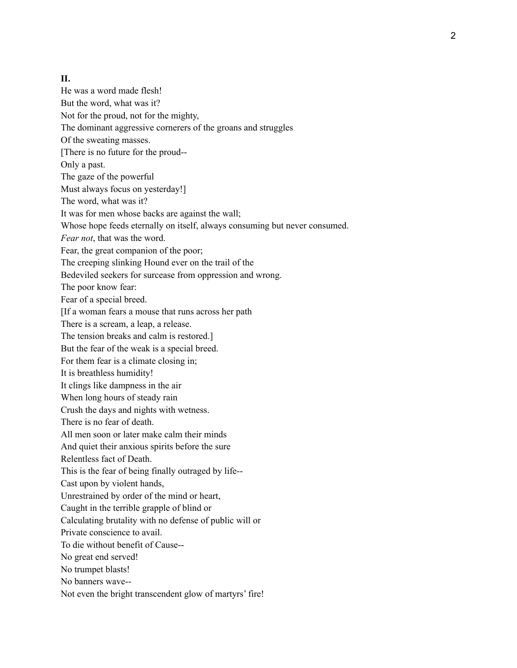### **II.**

He was a word made flesh! But the word, what was it? Not for the proud, not for the mighty, The dominant aggressive cornerers of the groans and struggles Of the sweating masses. [There is no future for the proud-- Only a past. The gaze of the powerful Must always focus on yesterday!] The word, what was it? It was for men whose backs are against the wall; Whose hope feeds eternally on itself, always consuming but never consumed. *Fear not*, that was the word. Fear, the great companion of the poor; The creeping slinking Hound ever on the trail of the Bedeviled seekers for surcease from oppression and wrong. The poor know fear: Fear of a special breed. [If a woman fears a mouse that runs across her path There is a scream, a leap, a release. The tension breaks and calm is restored.] But the fear of the weak is a special breed. For them fear is a climate closing in; It is breathless humidity! It clings like dampness in the air When long hours of steady rain Crush the days and nights with wetness. There is no fear of death. All men soon or later make calm their minds And quiet their anxious spirits before the sure Relentless fact of Death. This is the fear of being finally outraged by life-- Cast upon by violent hands, Unrestrained by order of the mind or heart, Caught in the terrible grapple of blind or Calculating brutality with no defense of public will or Private conscience to avail. To die without benefit of Cause-- No great end served! No trumpet blasts! No banners wave-- Not even the bright transcendent glow of martyrs' fire!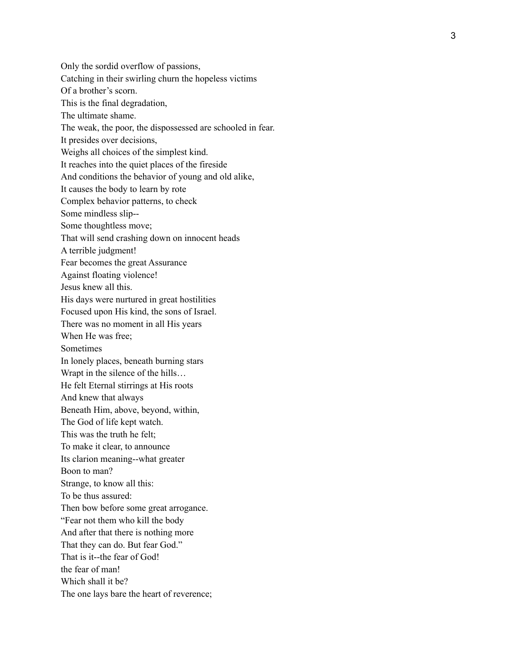Only the sordid overflow of passions, Catching in their swirling churn the hopeless victims Of a brother's scorn. This is the final degradation, The ultimate shame. The weak, the poor, the dispossessed are schooled in fear. It presides over decisions, Weighs all choices of the simplest kind. It reaches into the quiet places of the fireside And conditions the behavior of young and old alike, It causes the body to learn by rote Complex behavior patterns, to check Some mindless slip-- Some thoughtless move; That will send crashing down on innocent heads A terrible judgment! Fear becomes the great Assurance Against floating violence! Jesus knew all this. His days were nurtured in great hostilities Focused upon His kind, the sons of Israel. There was no moment in all His years When He was free; Sometimes In lonely places, beneath burning stars Wrapt in the silence of the hills… He felt Eternal stirrings at His roots And knew that always Beneath Him, above, beyond, within, The God of life kept watch. This was the truth he felt; To make it clear, to announce Its clarion meaning--what greater Boon to man? Strange, to know all this: To be thus assured: Then bow before some great arrogance. "Fear not them who kill the body And after that there is nothing more That they can do. But fear God." That is it--the fear of God! the fear of man! Which shall it be? The one lays bare the heart of reverence;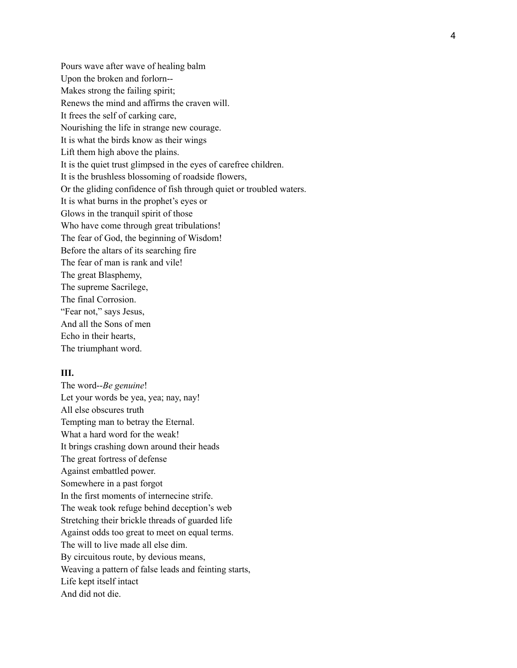Pours wave after wave of healing balm Upon the broken and forlorn--Makes strong the failing spirit; Renews the mind and affirms the craven will. It frees the self of carking care, Nourishing the life in strange new courage. It is what the birds know as their wings Lift them high above the plains. It is the quiet trust glimpsed in the eyes of carefree children. It is the brushless blossoming of roadside flowers, Or the gliding confidence of fish through quiet or troubled waters. It is what burns in the prophet's eyes or Glows in the tranquil spirit of those Who have come through great tribulations! The fear of God, the beginning of Wisdom! Before the altars of its searching fire The fear of man is rank and vile! The great Blasphemy, The supreme Sacrilege, The final Corrosion. "Fear not," says Jesus, And all the Sons of men Echo in their hearts, The triumphant word.

#### **III.**

The word--*Be genuine*! Let your words be yea, yea; nay, nay! All else obscures truth Tempting man to betray the Eternal. What a hard word for the weak! It brings crashing down around their heads The great fortress of defense Against embattled power. Somewhere in a past forgot In the first moments of internecine strife. The weak took refuge behind deception's web Stretching their brickle threads of guarded life Against odds too great to meet on equal terms. The will to live made all else dim. By circuitous route, by devious means, Weaving a pattern of false leads and feinting starts, Life kept itself intact And did not die.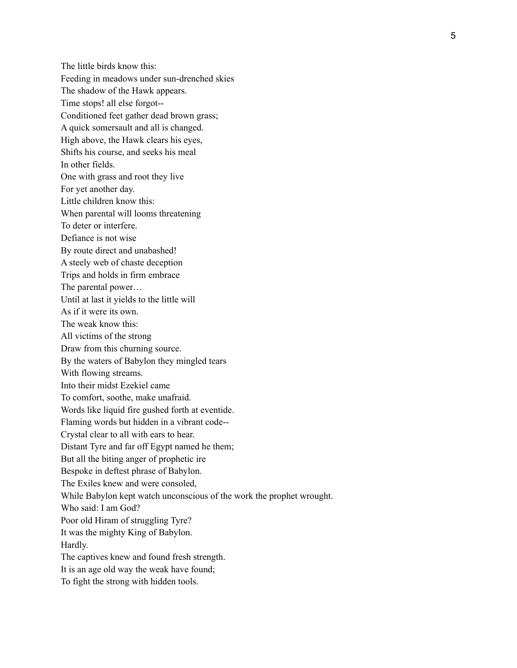The little birds know this: Feeding in meadows under sun-drenched skies The shadow of the Hawk appears. Time stops! all else forgot-- Conditioned feet gather dead brown grass; A quick somersault and all is changed. High above, the Hawk clears his eyes, Shifts his course, and seeks his meal In other fields. One with grass and root they live For yet another day. Little children know this: When parental will looms threatening To deter or interfere. Defiance is not wise By route direct and unabashed! A steely web of chaste deception Trips and holds in firm embrace The parental power… Until at last it yields to the little will As if it were its own. The weak know this: All victims of the strong Draw from this churning source. By the waters of Babylon they mingled tears With flowing streams. Into their midst Ezekiel came To comfort, soothe, make unafraid. Words like liquid fire gushed forth at eventide. Flaming words but hidden in a vibrant code-- Crystal clear to all with ears to hear. Distant Tyre and far off Egypt named he them; But all the biting anger of prophetic ire Bespoke in deftest phrase of Babylon. The Exiles knew and were consoled, While Babylon kept watch unconscious of the work the prophet wrought. Who said: I am God? Poor old Hiram of struggling Tyre? It was the mighty King of Babylon. Hardly. The captives knew and found fresh strength. It is an age old way the weak have found; To fight the strong with hidden tools.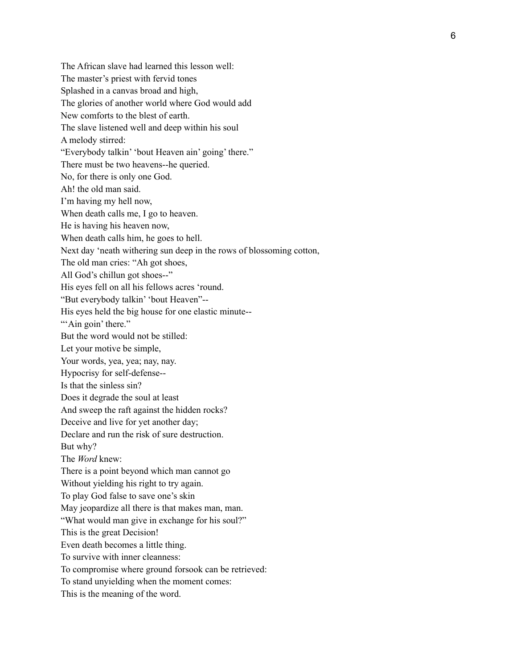The African slave had learned this lesson well: The master's priest with fervid tones Splashed in a canvas broad and high, The glories of another world where God would add New comforts to the blest of earth. The slave listened well and deep within his soul A melody stirred: "Everybody talkin' 'bout Heaven ain' going' there." There must be two heavens--he queried. No, for there is only one God. Ah! the old man said. I'm having my hell now, When death calls me, I go to heaven. He is having his heaven now, When death calls him, he goes to hell. Next day 'neath withering sun deep in the rows of blossoming cotton, The old man cries: "Ah got shoes, All God's chillun got shoes--" His eyes fell on all his fellows acres 'round. "But everybody talkin' 'bout Heaven"-- His eyes held the big house for one elastic minute--"Ain goin' there." But the word would not be stilled: Let your motive be simple, Your words, yea, yea; nay, nay. Hypocrisy for self-defense-- Is that the sinless sin? Does it degrade the soul at least And sweep the raft against the hidden rocks? Deceive and live for yet another day; Declare and run the risk of sure destruction. But why? The *Word* knew: There is a point beyond which man cannot g o Without yielding his right to try again. To play God false to save one's skin May jeopardize all there is that makes man, man. "What would man give in exchange for his soul?" This is the great Decision! Even death becomes a little thing. To survive with inner cleanness: To compromise where ground forsook can be retrieved: To stand unyielding when the moment comes: This is the meaning of the word.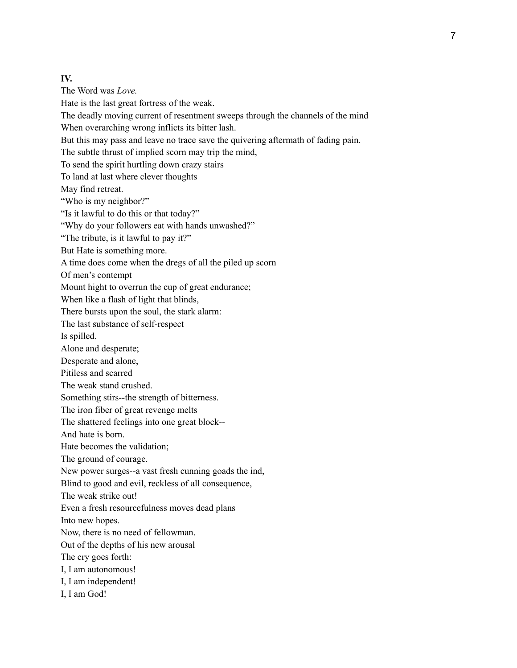# **IV.**

The Word was *Love.* Hate is the last great fortress of the weak. The deadly moving current of resentment sweeps through the channels of the mind When overarching wrong inflicts its bitter lash. But this may pass and leave no trace save the quivering aftermath of fading pain. The subtle thrust of implied scorn may trip the mind, To send the spirit hurtling down crazy stairs To land at last where clever thoughts May find retreat. "Who is my neighbor?" "Is it lawful to do this or that today?" "Why do your followers eat with hands unwashed?" "The tribute, is it lawful to pay it?" But Hate is something more. A time does come when the dregs of all the piled up scorn Of men's contempt Mount hight to overrun the cup of great endurance; When like a flash of light that blinds, There bursts upon the soul, the stark alarm: The last substance of self-respect Is spilled. Alone and desperate; Desperate and alone, Pitiless and scarred The weak stand crushed. Something stirs--the strength of bitterness. The iron fiber of great revenge melts The shattered feelings into one great block-- And hate is born. Hate becomes the validation; The ground of courage. New power surges--a vast fresh cunning goads the ind, Blind to good and evil, reckless of all consequence, The weak strike out! Even a fresh resourcefulness moves dead plans Into new hopes. Now, there is no need of fellowman. Out of the depths of his new arousal The cry goes forth: I, I am autonomous! I, I am independent! I, I am God!